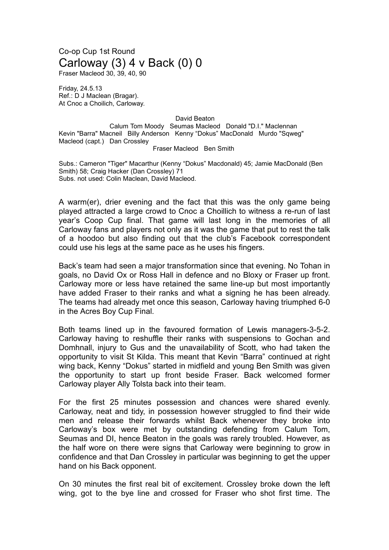## Co-op Cup 1st Round Carloway (3) 4 v Back (0) 0

Fraser Macleod 30, 39, 40, 90

Friday, 24.5.13 Ref.: D J Maclean (Bragar). At Cnoc a Choilich, Carloway.

David Beaton

Calum Tom Moody Seumas Macleod Donald "D.I." Maclennan Kevin "Barra" Macneil Billy Anderson Kenny "Dokus" MacDonald Murdo "Sqweg" Macleod (capt.) Dan Crossley

Fraser Macleod Ben Smith

Subs.: Cameron "Tiger" Macarthur (Kenny "Dokus" Macdonald) 45; Jamie MacDonald (Ben Smith) 58; Craig Hacker (Dan Crossley) 71 Subs. not used: Colin Maclean, David Macleod.

A warm(er), drier evening and the fact that this was the only game being played attracted a large crowd to Cnoc a Choillich to witness a re-run of last year's Coop Cup final. That game will last long in the memories of all Carloway fans and players not only as it was the game that put to rest the talk of a hoodoo but also finding out that the club's Facebook correspondent could use his legs at the same pace as he uses his fingers.

Back's team had seen a major transformation since that evening. No Tohan in goals, no David Ox or Ross Hall in defence and no Bloxy or Fraser up front. Carloway more or less have retained the same line-up but most importantly have added Fraser to their ranks and what a signing he has been already. The teams had already met once this season, Carloway having triumphed 6-0 in the Acres Boy Cup Final.

Both teams lined up in the favoured formation of Lewis managers-3-5-2. Carloway having to reshuffle their ranks with suspensions to Gochan and Domhnall, injury to Gus and the unavailability of Scott, who had taken the opportunity to visit St Kilda. This meant that Kevin "Barra" continued at right wing back, Kenny "Dokus" started in midfield and young Ben Smith was given the opportunity to start up front beside Fraser. Back welcomed former Carloway player Ally Tolsta back into their team.

For the first 25 minutes possession and chances were shared evenly. Carloway, neat and tidy, in possession however struggled to find their wide men and release their forwards whilst Back whenever they broke into Carloway's box were met by outstanding defending from Calum Tom, Seumas and DI, hence Beaton in the goals was rarely troubled. However, as the half wore on there were signs that Carloway were beginning to grow in confidence and that Dan Crossley in particular was beginning to get the upper hand on his Back opponent.

On 30 minutes the first real bit of excitement. Crossley broke down the left wing, got to the bye line and crossed for Fraser who shot first time. The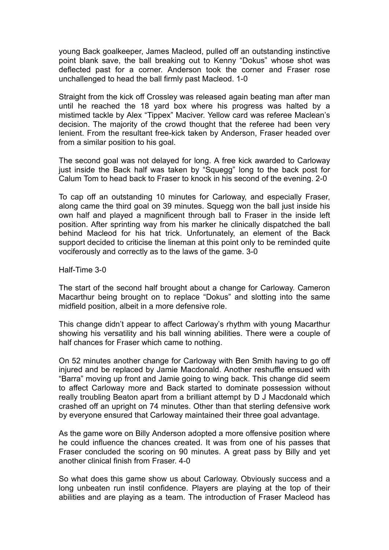young Back goalkeeper, James Macleod, pulled off an outstanding instinctive point blank save, the ball breaking out to Kenny "Dokus" whose shot was deflected past for a corner. Anderson took the corner and Fraser rose unchallenged to head the ball firmly past Macleod. 1-0

Straight from the kick off Crossley was released again beating man after man until he reached the 18 yard box where his progress was halted by a mistimed tackle by Alex "Tippex" Maciver. Yellow card was referee Maclean's decision. The majority of the crowd thought that the referee had been very lenient. From the resultant free-kick taken by Anderson, Fraser headed over from a similar position to his goal.

The second goal was not delayed for long. A free kick awarded to Carloway just inside the Back half was taken by "Squegg" long to the back post for Calum Tom to head back to Fraser to knock in his second of the evening. 2-0

To cap off an outstanding 10 minutes for Carloway, and especially Fraser, along came the third goal on 39 minutes. Squegg won the ball just inside his own half and played a magnificent through ball to Fraser in the inside left position. After sprinting way from his marker he clinically dispatched the ball behind Macleod for his hat trick. Unfortunately, an element of the Back support decided to criticise the lineman at this point only to be reminded quite vociferously and correctly as to the laws of the game. 3-0

Half-Time 3-0

The start of the second half brought about a change for Carloway. Cameron Macarthur being brought on to replace "Dokus" and slotting into the same midfield position, albeit in a more defensive role.

This change didn't appear to affect Carloway's rhythm with young Macarthur showing his versatility and his ball winning abilities. There were a couple of half chances for Fraser which came to nothing.

On 52 minutes another change for Carloway with Ben Smith having to go off injured and be replaced by Jamie Macdonald. Another reshuffle ensued with "Barra" moving up front and Jamie going to wing back. This change did seem to affect Carloway more and Back started to dominate possession without really troubling Beaton apart from a brilliant attempt by D J Macdonald which crashed off an upright on 74 minutes. Other than that sterling defensive work by everyone ensured that Carloway maintained their three goal advantage.

As the game wore on Billy Anderson adopted a more offensive position where he could influence the chances created. It was from one of his passes that Fraser concluded the scoring on 90 minutes. A great pass by Billy and yet another clinical finish from Fraser. 4-0

So what does this game show us about Carloway. Obviously success and a long unbeaten run instil confidence. Players are playing at the top of their abilities and are playing as a team. The introduction of Fraser Macleod has